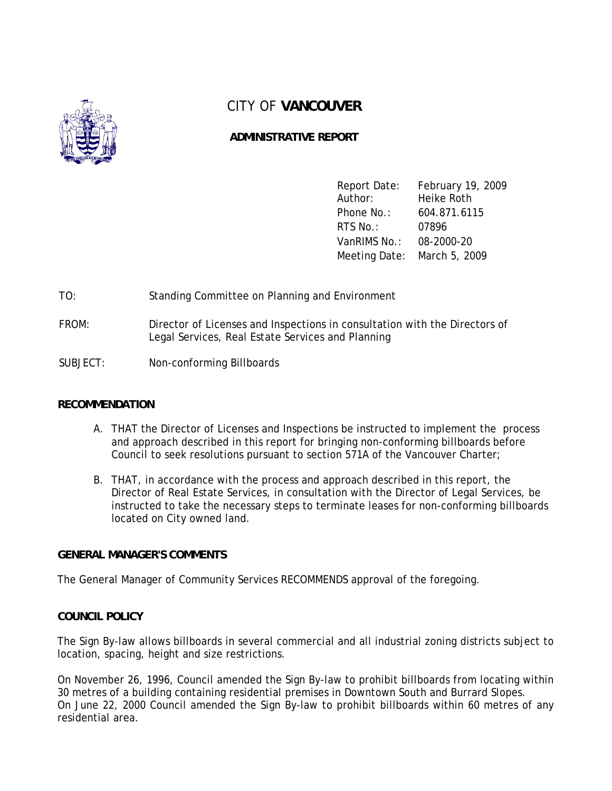

# CITY OF **VANCOUVER**

# **ADMINISTRATIVE REPORT**

Report Date: February 19, 2009 Author: Heike Roth Phone No.: 604.871.6115 RTS No.: 07896 VanRIMS No.: 08-2000-20 Meeting Date: March 5, 2009

# TO: Standing Committee on Planning and Environment

FROM: Director of Licenses and Inspections in consultation with the Directors of Legal Services, Real Estate Services and Planning

## SUBJECT: Non-conforming Billboards

## **RECOMMENDATION**

- A. THAT the Director of Licenses and Inspections be instructed to implement the process and approach described in this report for bringing non-conforming billboards before Council to seek resolutions pursuant to section 571A of the Vancouver Charter;
- B. THAT, in accordance with the process and approach described in this report, the Director of Real Estate Services, in consultation with the Director of Legal Services, be instructed to take the necessary steps to terminate leases for non-conforming billboards located on City owned land.

## **GENERAL MANAGER'S COMMENTS**

The General Manager of Community Services RECOMMENDS approval of the foregoing.

## **COUNCIL POLICY**

The Sign By-law allows billboards in several commercial and all industrial zoning districts subject to location, spacing, height and size restrictions.

On November 26, 1996, Council amended the Sign By-law to prohibit billboards from locating within 30 metres of a building containing residential premises in Downtown South and Burrard Slopes. On June 22, 2000 Council amended the Sign By-law to prohibit billboards within 60 metres of any residential area.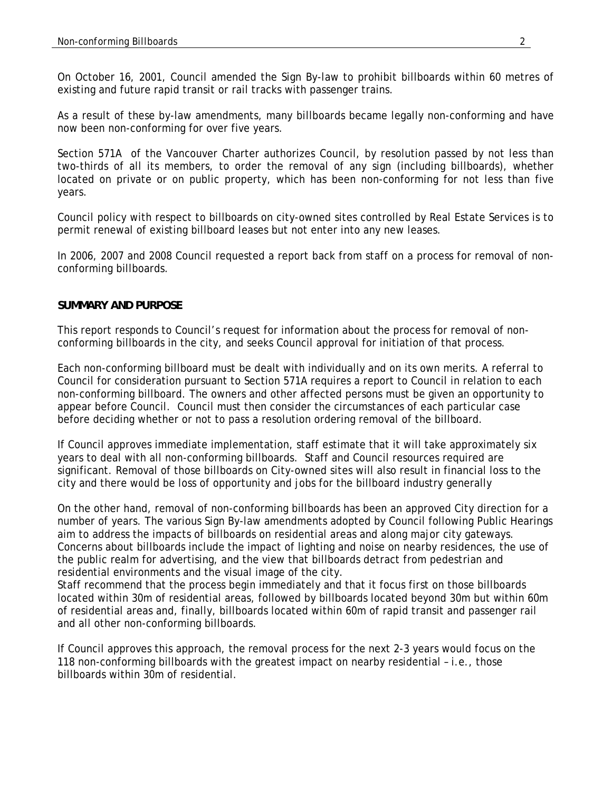On October 16, 2001, Council amended the Sign By-law to prohibit billboards within 60 metres of existing and future rapid transit or rail tracks with passenger trains.

As a result of these by-law amendments, many billboards became legally non-conforming and have now been non-conforming for over five years.

Section 571A of the Vancouver Charter authorizes Council, by resolution passed by not less than two-thirds of all its members, to order the removal of any sign (including billboards), whether located on private or on public property, which has been non-conforming for not less than five years.

Council policy with respect to billboards on city-owned sites controlled by Real Estate Services is to permit renewal of existing billboard leases but not enter into any new leases.

In 2006, 2007 and 2008 Council requested a report back from staff on a process for removal of nonconforming billboards.

## **SUMMARY AND PURPOSE**

This report responds to Council's request for information about the process for removal of nonconforming billboards in the city, and seeks Council approval for initiation of that process.

Each non-conforming billboard must be dealt with individually and on its own merits. A referral to Council for consideration pursuant to Section 571A requires a report to Council in relation to each non-conforming billboard. The owners and other affected persons must be given an opportunity to appear before Council. Council must then consider the circumstances of each particular case before deciding whether or not to pass a resolution ordering removal of the billboard.

If Council approves immediate implementation, staff estimate that it will take approximately six years to deal with all non-conforming billboards. Staff and Council resources required are significant. Removal of those billboards on City-owned sites will also result in financial loss to the city and there would be loss of opportunity and jobs for the billboard industry generally

On the other hand, removal of non-conforming billboards has been an approved City direction for a number of years. The various Sign By-law amendments adopted by Council following Public Hearings aim to address the impacts of billboards on residential areas and along major city gateways. Concerns about billboards include the impact of lighting and noise on nearby residences, the use of the public realm for advertising, and the view that billboards detract from pedestrian and residential environments and the visual image of the city.

Staff recommend that the process begin immediately and that it focus first on those billboards located within 30m of residential areas, followed by billboards located beyond 30m but within 60m of residential areas and, finally, billboards located within 60m of rapid transit and passenger rail and all other non-conforming billboards.

If Council approves this approach, the removal process for the next 2-3 years would focus on the 118 non-conforming billboards with the greatest impact on nearby residential – i.e., those billboards within 30m of residential.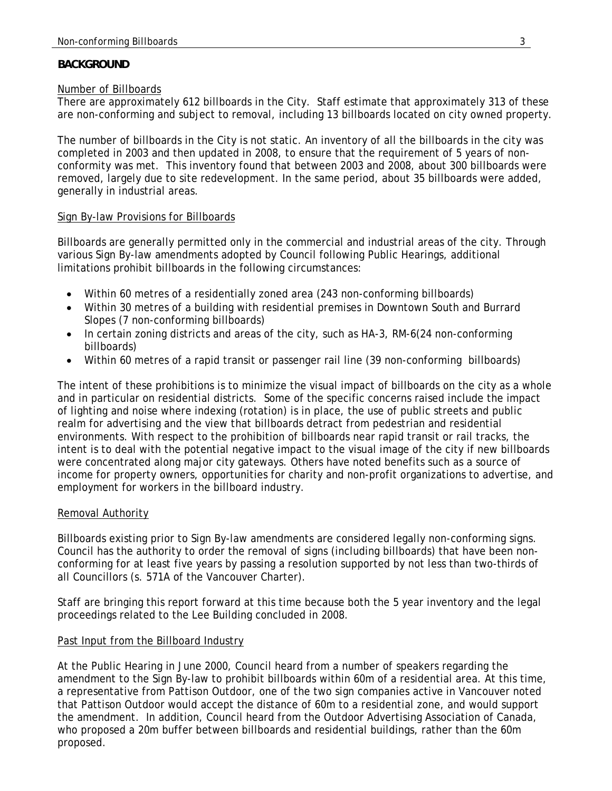## **BACKGROUND**

## Number of Billboards

There are approximately 612 billboards in the City. Staff estimate that approximately 313 of these are non-conforming and subject to removal, including 13 billboards located on city owned property.

The number of billboards in the City is not static*.* An inventory of all the billboards in the city was completed in 2003 and then updated in 2008, to ensure that the requirement of 5 years of nonconformity was met. This inventory found that between 2003 and 2008, about 300 billboards were removed, largely due to site redevelopment. In the same period, about 35 billboards were added, generally in industrial areas.

## Sign By-law Provisions for Billboards

Billboards are generally permitted only in the commercial and industrial areas of the city. Through various Sign By-law amendments adopted by Council following Public Hearings, additional limitations prohibit billboards in the following circumstances:

- Within 60 metres of a residentially zoned area (243 non-conforming billboards)
- Within 30 metres of a building with residential premises in Downtown South and Burrard Slopes (7 non-conforming billboards)
- In certain zoning districts and areas of the city, such as HA-3, RM-6(24 non-conforming billboards)
- Within 60 metres of a rapid transit or passenger rail line (39 non-conforming billboards)

The intent of these prohibitions is to minimize the visual impact of billboards on the city as a whole and in particular on residential districts. Some of the specific concerns raised include the impact of lighting and noise where indexing (rotation) is in place, the use of public streets and public realm for advertising and the view that billboards detract from pedestrian and residential environments. With respect to the prohibition of billboards near rapid transit or rail tracks, the intent is to deal with the potential negative impact to the visual image of the city if new billboards were concentrated along major city gateways. Others have noted benefits such as a source of income for property owners, opportunities for charity and non-profit organizations to advertise, and employment for workers in the billboard industry.

# Removal Authority

Billboards existing prior to Sign By-law amendments are considered legally non-conforming signs. Council has the authority to order the removal of signs (including billboards) that have been nonconforming for at least five years by passing a resolution supported by not less than two-thirds of all Councillors (s. 571A of the Vancouver Charter).

Staff are bringing this report forward at this time because both the 5 year inventory and the legal proceedings related to the Lee Building concluded in 2008.

# Past Input from the Billboard Industry

At the Public Hearing in June 2000, Council heard from a number of speakers regarding the amendment to the Sign By-law to prohibit billboards within 60m of a residential area. At this time, a representative from Pattison Outdoor, one of the two sign companies active in Vancouver noted that Pattison Outdoor would accept the distance of 60m to a residential zone, and would support the amendment. In addition, Council heard from the Outdoor Advertising Association of Canada, who proposed a 20m buffer between billboards and residential buildings, rather than the 60m proposed.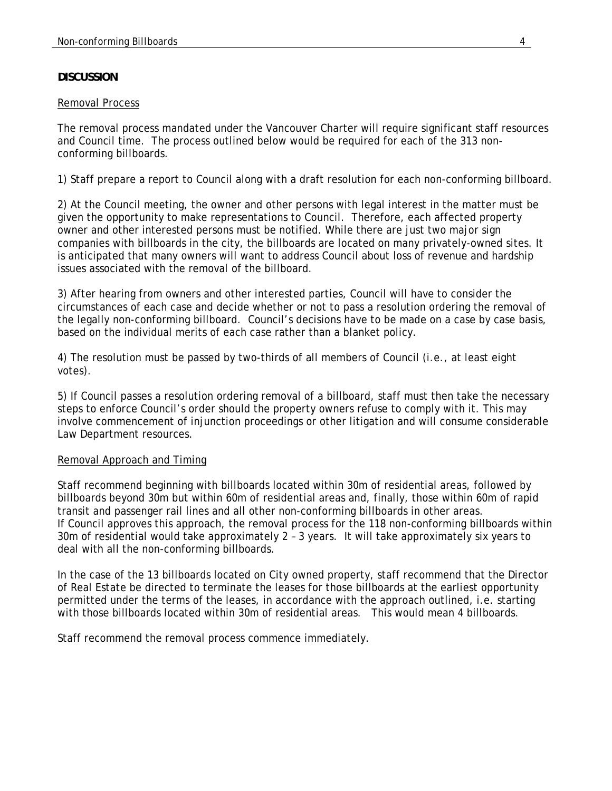## **DISCUSSION**

#### Removal Process

The removal process mandated under the Vancouver Charter will require significant staff resources and Council time. The process outlined below would be required for each of the 313 nonconforming billboards.

1) Staff prepare a report to Council along with a draft resolution for each non-conforming billboard.

2) At the Council meeting, the owner and other persons with legal interest in the matter must be given the opportunity to make representations to Council. Therefore, each affected property owner and other interested persons must be notified. While there are just two major sign companies with billboards in the city, the billboards are located on many privately-owned sites. It is anticipated that many owners will want to address Council about loss of revenue and hardship issues associated with the removal of the billboard.

3) After hearing from owners and other interested parties, Council will have to consider the circumstances of each case and decide whether or not to pass a resolution ordering the removal of the legally non-conforming billboard. Council's decisions have to be made on a case by case basis, based on the individual merits of each case rather than a blanket policy.

4) The resolution must be passed by two-thirds of all members of Council (i.e., at least eight votes).

5) If Council passes a resolution ordering removal of a billboard, staff must then take the necessary steps to enforce Council's order should the property owners refuse to comply with it. This may involve commencement of injunction proceedings or other litigation and will consume considerable Law Department resources.

## Removal Approach and Timing

Staff recommend beginning with billboards located within 30m of residential areas, followed by billboards beyond 30m but within 60m of residential areas and, finally, those within 60m of rapid transit and passenger rail lines and all other non-conforming billboards in other areas. If Council approves this approach, the removal process for the 118 non-conforming billboards within 30m of residential would take approximately 2 – 3 years. It will take approximately six years to deal with all the non-conforming billboards.

In the case of the 13 billboards located on City owned property, staff recommend that the Director of Real Estate be directed to terminate the leases for those billboards at the earliest opportunity permitted under the terms of the leases, in accordance with the approach outlined, i.e. starting with those billboards located within 30m of residential areas. This would mean 4 billboards.

Staff recommend the removal process commence immediately.